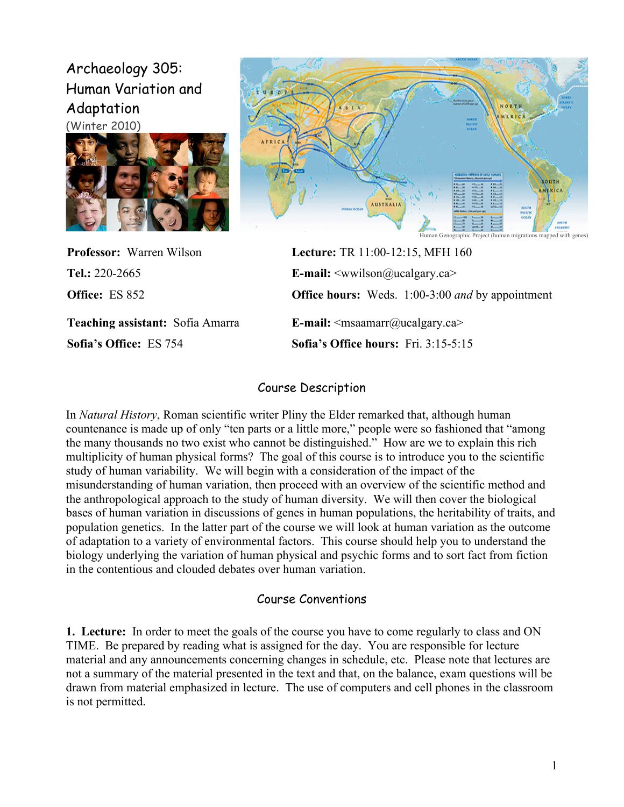# Archaeology 305: Human Variation and Adaptation





**Professor:** Warren Wilson **Lecture:** TR 11:00-12:15, MFH 160

**Sofia's Office:** ES 754 **Sofia's Office hours:** Fri. 3:15-5:15

**Tel.:** 220-2665 **E-mail:** <wwilson@ucalgary.ca> **Office:** ES 852 **Office hours:** Weds. 1:00-3:00 *and* by appointment **Teaching assistant:** Sofia Amarra **E-mail:**  $\langle$ msaamarr@ucalgary.ca>

### Course Description

In *Natural History*, Roman scientific writer Pliny the Elder remarked that, although human countenance is made up of only "ten parts or a little more," people were so fashioned that "among the many thousands no two exist who cannot be distinguished." How are we to explain this rich multiplicity of human physical forms? The goal of this course is to introduce you to the scientific study of human variability. We will begin with a consideration of the impact of the misunderstanding of human variation, then proceed with an overview of the scientific method and the anthropological approach to the study of human diversity. We will then cover the biological bases of human variation in discussions of genes in human populations, the heritability of traits, and population genetics. In the latter part of the course we will look at human variation as the outcome of adaptation to a variety of environmental factors. This course should help you to understand the biology underlying the variation of human physical and psychic forms and to sort fact from fiction in the contentious and clouded debates over human variation.

### Course Conventions

**1. Lecture:**In order to meet the goals of the course you have to come regularly to class and ON TIME. Be prepared by reading what is assigned for the day. You are responsible for lecture material and any announcements concerning changes in schedule, etc. Please note that lectures are not a summary of the material presented in the text and that, on the balance, exam questions will be drawn from material emphasized in lecture. The use of computers and cell phones in the classroom is not permitted.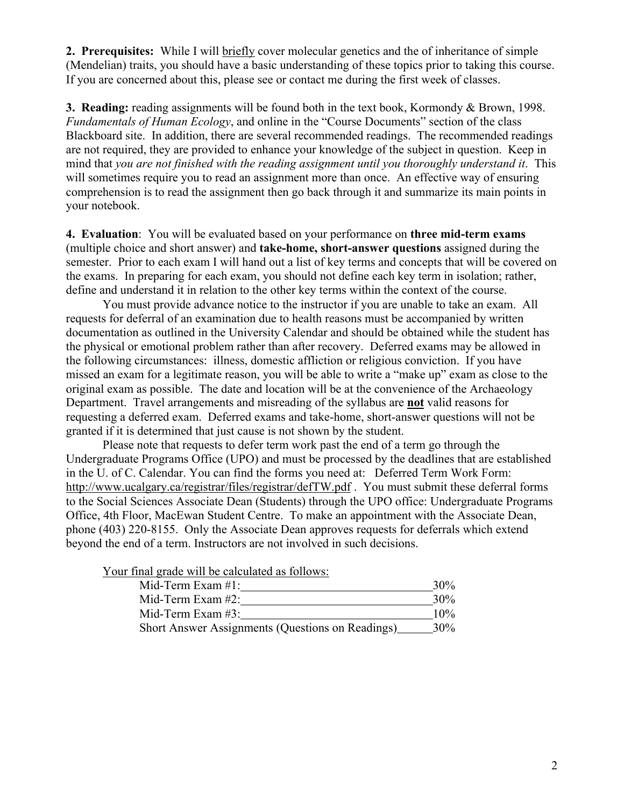**2. Prerequisites:** While I will briefly cover molecular genetics and the of inheritance of simple (Mendelian) traits, you should have a basic understanding of these topics prior to taking this course. If you are concerned about this, please see or contact me during the first week of classes.

**3. Reading:** reading assignments will be found both in the text book, Kormondy & Brown, 1998. *Fundamentals of Human Ecology*, and online in the "Course Documents" section of the class Blackboard site. In addition, there are several recommended readings. The recommended readings are not required, they are provided to enhance your knowledge of the subject in question. Keep in mind that *you are not finished with the reading assignment until you thoroughly understand it*. This will sometimes require you to read an assignment more than once. An effective way of ensuring comprehension is to read the assignment then go back through it and summarize its main points in your notebook.

**4. Evaluation**: You will be evaluated based on your performance on **three mid-term exams** (multiple choice and short answer) and **take-home, short-answer questions** assigned during the semester. Prior to each exam I will hand out a list of key terms and concepts that will be covered on the exams. In preparing for each exam, you should not define each key term in isolation; rather, define and understand it in relation to the other key terms within the context of the course.

You must provide advance notice to the instructor if you are unable to take an exam. All requests for deferral of an examination due to health reasons must be accompanied by written documentation as outlined in the University Calendar and should be obtained while the student has the physical or emotional problem rather than after recovery. Deferred exams may be allowed in the following circumstances: illness, domestic affliction or religious conviction. If you have missed an exam for a legitimate reason, you will be able to write a "make up" exam as close to the original exam as possible. The date and location will be at the convenience of the Archaeology Department. Travel arrangements and misreading of the syllabus are **not** valid reasons for requesting a deferred exam. Deferred exams and take-home, short-answer questions will not be granted if it is determined that just cause is not shown by the student.

Please note that requests to defer term work past the end of a term go through the Undergraduate Programs Office (UPO) and must be processed by the deadlines that are established in the U. of C. Calendar. You can find the forms you need at: Deferred Term Work Form: http://www.ucalgary.ca/registrar/files/registrar/defTW.pdf . You must submit these deferral forms to the Social Sciences Associate Dean (Students) through the UPO office: Undergraduate Programs Office, 4th Floor, MacEwan Student Centre. To make an appointment with the Associate Dean, phone (403) 220-8155. Only the Associate Dean approves requests for deferrals which extend beyond the end of a term. Instructors are not involved in such decisions.

Your final grade will be calculated as follows:

| Mid-Term Exam $#1$ :                             | $30\%$ |
|--------------------------------------------------|--------|
| Mid-Term Exam $#2$ :                             | $30\%$ |
| Mid-Term Exam $#3$ :                             | $10\%$ |
| Short Answer Assignments (Questions on Readings) | $30\%$ |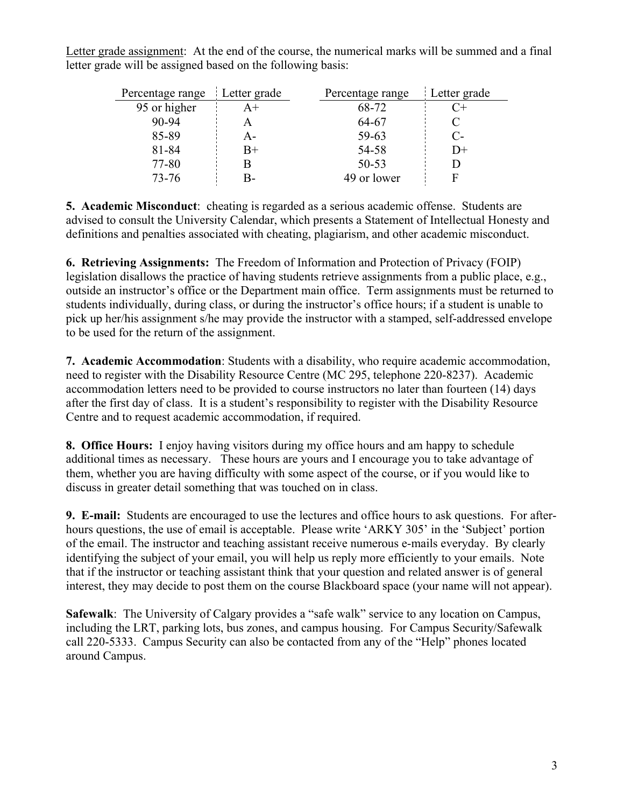Letter grade assignment: At the end of the course, the numerical marks will be summed and a final letter grade will be assigned based on the following basis:

| Percentage range | Letter grade  | Percentage range | Letter grade |
|------------------|---------------|------------------|--------------|
| 95 or higher     | $\mathsf{A}+$ | 68-72            |              |
| $90 - 94$        |               | 64-67            |              |
| 85-89            | A –           | 59-63            | C-           |
| 81-84            | B+            | 54-58            | D+           |
| 77-80            |               | 50-53            |              |
| $73 - 76$        |               | 49 or lower      |              |

**5. Academic Misconduct**: cheating is regarded as a serious academic offense. Students are advised to consult the University Calendar, which presents a Statement of Intellectual Honesty and definitions and penalties associated with cheating, plagiarism, and other academic misconduct.

**6. Retrieving Assignments:** The Freedom of Information and Protection of Privacy (FOIP) legislation disallows the practice of having students retrieve assignments from a public place, e.g., outside an instructor's office or the Department main office. Term assignments must be returned to students individually, during class, or during the instructor's office hours; if a student is unable to pick up her/his assignment s/he may provide the instructor with a stamped, self-addressed envelope to be used for the return of the assignment.

**7. Academic Accommodation**: Students with a disability, who require academic accommodation, need to register with the Disability Resource Centre (MC 295, telephone 220-8237). Academic accommodation letters need to be provided to course instructors no later than fourteen (14) days after the first day of class. It is a student's responsibility to register with the Disability Resource Centre and to request academic accommodation, if required.

**8. Office Hours:**I enjoy having visitors during my office hours and am happy to schedule additional times as necessary. These hours are yours and I encourage you to take advantage of them, whether you are having difficulty with some aspect of the course, or if you would like to discuss in greater detail something that was touched on in class.

**9. E-mail:** Students are encouraged to use the lectures and office hours to ask questions. For afterhours questions, the use of email is acceptable. Please write 'ARKY 305' in the 'Subject' portion of the email. The instructor and teaching assistant receive numerous e-mails everyday. By clearly identifying the subject of your email, you will help us reply more efficiently to your emails. Note that if the instructor or teaching assistant think that your question and related answer is of general interest, they may decide to post them on the course Blackboard space (your name will not appear).

**Safewalk**: The University of Calgary provides a "safe walk" service to any location on Campus, including the LRT, parking lots, bus zones, and campus housing. For Campus Security/Safewalk call 220-5333. Campus Security can also be contacted from any of the "Help" phones located around Campus.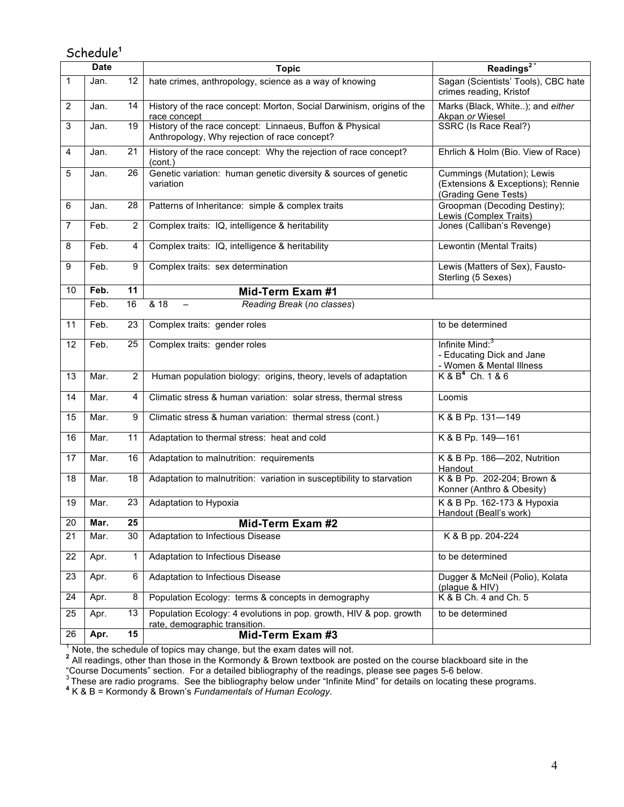## Schedule**<sup>1</sup>**

| <b>Date</b>    |      |                 | <b>Topic</b>                                                                                             | Readings $2^*$                                                                          |  |
|----------------|------|-----------------|----------------------------------------------------------------------------------------------------------|-----------------------------------------------------------------------------------------|--|
| 1              | Jan. | 12              | hate crimes, anthropology, science as a way of knowing                                                   | Sagan (Scientists' Tools), CBC hate<br>crimes reading, Kristof                          |  |
| $\overline{2}$ | Jan. | 14              | History of the race concept: Morton, Social Darwinism, origins of the<br>race concept                    | Marks (Black, White); and either<br>Akpan or Wiesel                                     |  |
| 3              | Jan. | 19              | History of the race concept: Linnaeus, Buffon & Physical<br>Anthropology, Why rejection of race concept? | SSRC (Is Race Real?)                                                                    |  |
| 4              | Jan. | 21              | History of the race concept: Why the rejection of race concept?<br>(cont.)                               | Ehrlich & Holm (Bio. View of Race)                                                      |  |
| 5              | Jan. | 26              | Genetic variation: human genetic diversity & sources of genetic<br>variation                             | Cummings (Mutation); Lewis<br>(Extensions & Exceptions); Rennie<br>(Grading Gene Tests) |  |
| 6              | Jan. | 28              | Patterns of Inheritance: simple & complex traits                                                         | Groopman (Decoding Destiny);<br>Lewis (Complex Traits)                                  |  |
| 7              | Feb. | $\overline{2}$  | Complex traits: IQ, intelligence & heritability                                                          | Jones (Calliban's Revenge)                                                              |  |
| 8              | Feb. | 4               | Complex traits: IQ, intelligence & heritability                                                          | Lewontin (Mental Traits)                                                                |  |
| 9              | Feb. | 9               | Complex traits: sex determination                                                                        | Lewis (Matters of Sex), Fausto-<br>Sterling (5 Sexes)                                   |  |
| 10             | Feb. | 11              | Mid-Term Exam #1                                                                                         |                                                                                         |  |
|                | Feb. | 16              | $\overline{818}$<br>Reading Break (no classes)                                                           |                                                                                         |  |
| 11             | Feb. | 23              | Complex traits: gender roles                                                                             | to be determined                                                                        |  |
| 12             | Feb. | 25              | Complex traits: gender roles                                                                             | Infinite Mind: <sup>3</sup><br>- Educating Dick and Jane<br>- Women & Mental Illness    |  |
| 13             | Mar. | 2               | Human population biology: origins, theory, levels of adaptation                                          | $K & B4$ Ch. 1 & 6                                                                      |  |
| 14             | Mar. | 4               | Climatic stress & human variation: solar stress, thermal stress                                          | Loomis                                                                                  |  |
| 15             | Mar. | 9               | Climatic stress & human variation: thermal stress (cont.)                                                | K & B Pp. 131-149                                                                       |  |
| 16             | Mar. | 11              | Adaptation to thermal stress: heat and cold                                                              | K & B Pp. 149-161                                                                       |  |
| 17             | Mar. | 16              | Adaptation to malnutrition: requirements                                                                 | K & B Pp. 186-202, Nutrition<br>Handout                                                 |  |
| 18             | Mar. | 18              | Adaptation to malnutrition: variation in susceptibility to starvation                                    | K & B Pp. 202-204; Brown &<br>Konner (Anthro & Obesity)                                 |  |
| 19             | Mar. | 23              | Adaptation to Hypoxia                                                                                    | K & B Pp. 162-173 & Hypoxia<br>Handout (Beall's work)                                   |  |
| 20             | Mar. | 25              | Mid-Term Exam #2                                                                                         |                                                                                         |  |
| 21             | Mar. | $\overline{30}$ | Adaptation to Infectious Disease                                                                         | K & B pp. 204-224                                                                       |  |
| 22             | Apr. | 1               | Adaptation to Infectious Disease                                                                         | to be determined                                                                        |  |
| 23             | Apr. | 6               | Adaptation to Infectious Disease                                                                         | Dugger & McNeil (Polio), Kolata<br>(plague & HIV)                                       |  |
| 24             | Apr. | 8               | Population Ecology: terms & concepts in demography                                                       | K & B Ch. 4 and Ch. 5                                                                   |  |
| 25             | Apr. | 13              | Population Ecology: 4 evolutions in pop. growth, HIV & pop. growth<br>rate, demographic transition.      | to be determined                                                                        |  |
| 26             | Apr. | $\overline{15}$ | Mid-Term Exam #3                                                                                         |                                                                                         |  |

<sup>1</sup> Note, the schedule of topics may change, but the exam dates will not.<br><sup>2</sup> All readings, other than those in the Kormondy & Brown textbook are posted on the course blackboard site in the

"Course Documents" section. For a detailed bibliography of the readings, please see pages 5-6 below.<br><sup>3</sup> These are radio programs. See the bibliography below under "Infinite Mind" for details on locating these programs.<br>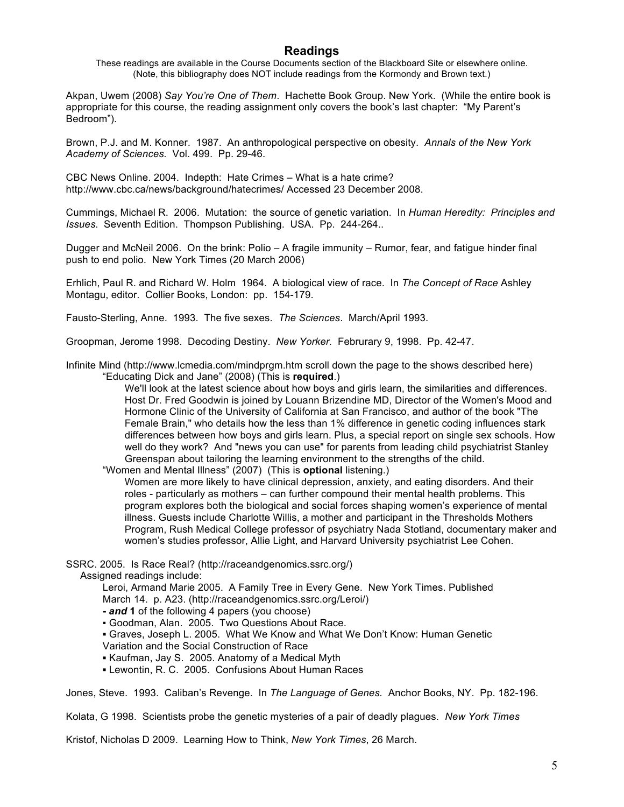#### **Readings**

These readings are available in the Course Documents section of the Blackboard Site or elsewhere online. (Note, this bibliography does NOT include readings from the Kormondy and Brown text.)

Akpan, Uwem (2008) *Say You're One of Them*. Hachette Book Group. New York. (While the entire book is appropriate for this course, the reading assignment only covers the book's last chapter: "My Parent's Bedroom").

Brown, P.J. and M. Konner. 1987. An anthropological perspective on obesity. *Annals of the New York Academy of Sciences.* Vol. 499. Pp. 29-46.

CBC News Online. 2004. Indepth: Hate Crimes – What is a hate crime? http://www.cbc.ca/news/background/hatecrimes/ Accessed 23 December 2008.

Cummings, Michael R. 2006. Mutation: the source of genetic variation. In *Human Heredity: Principles and Issues*. Seventh Edition. Thompson Publishing. USA. Pp. 244-264..

Dugger and McNeil 2006. On the brink: Polio – A fragile immunity – Rumor, fear, and fatigue hinder final push to end polio. New York Times (20 March 2006)

Erhlich, Paul R. and Richard W. Holm 1964. A biological view of race. In *The Concept of Race* Ashley Montagu, editor. Collier Books, London: pp. 154-179.

Fausto-Sterling, Anne. 1993. The five sexes. *The Sciences*. March/April 1993.

Groopman, Jerome 1998. Decoding Destiny. *New Yorker.* Februrary 9, 1998. Pp. 42-47.

Infinite Mind (http://www.lcmedia.com/mindprgm.htm scroll down the page to the shows described here) "Educating Dick and Jane" (2008) (This is **required**.)

> We'll look at the latest science about how boys and girls learn, the similarities and differences. Host Dr. Fred Goodwin is joined by Louann Brizendine MD, Director of the Women's Mood and Hormone Clinic of the University of California at San Francisco, and author of the book "The Female Brain," who details how the less than 1% difference in genetic coding influences stark differences between how boys and girls learn. Plus, a special report on single sex schools. How well do they work? And "news you can use" for parents from leading child psychiatrist Stanley Greenspan about tailoring the learning environment to the strengths of the child.

"Women and Mental Illness" (2007) (This is **optional** listening.)

Women are more likely to have clinical depression, anxiety, and eating disorders. And their roles - particularly as mothers – can further compound their mental health problems. This program explores both the biological and social forces shaping women's experience of mental illness. Guests include Charlotte Willis, a mother and participant in the Thresholds Mothers Program, Rush Medical College professor of psychiatry Nada Stotland, documentary maker and women's studies professor, Allie Light, and Harvard University psychiatrist Lee Cohen.

SSRC. 2005. Is Race Real? (http://raceandgenomics.ssrc.org/)

Assigned readings include:

Leroi, Armand Marie 2005. A Family Tree in Every Gene. New York Times. Published March 14. p. A23. (http://raceandgenomics.ssrc.org/Leroi/)

**-** *and* **1** of the following 4 papers (you choose)

▪ Goodman, Alan. 2005. Two Questions About Race.

 **▪** Graves, Joseph L. 2005. What We Know and What We Don't Know: Human Genetic Variation and the Social Construction of Race

 **▪** Kaufman, Jay S. 2005. Anatomy of a Medical Myth

**▪** Lewontin, R. C. 2005. Confusions About Human Races

Jones, Steve. 1993. Caliban's Revenge. In *The Language of Genes.* Anchor Books, NY. Pp. 182-196.

Kolata, G 1998. Scientists probe the genetic mysteries of a pair of deadly plagues. *New York Times*

Kristof, Nicholas D 2009. Learning How to Think, *New York Times*, 26 March.